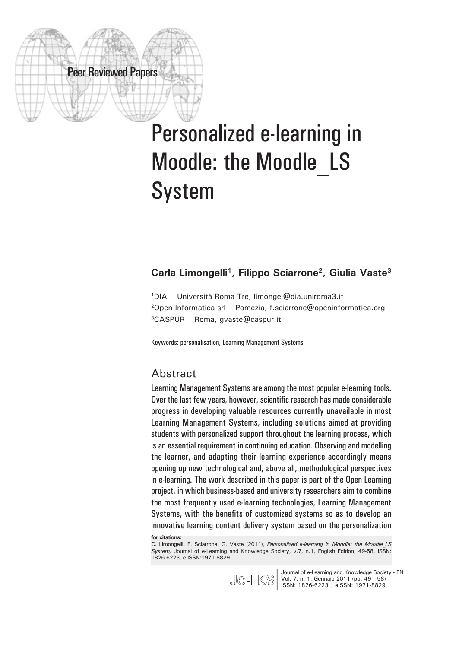# Personalized e-learning in Moodle: the Moodle\_LS System

## **Carla Limongelli1, Filippo Sciarrone2, Giulia Vaste3**

1DIA – Università Roma Tre, limongel@dia.uniroma3.it 2Open Informatica srl – Pomezia, f.sciarrone@openinformatica.org 3CASPUR – Roma, gvaste@caspur.it

Keywords: personalisation, Learning Management Systems

#### Abstract

Peer Reviewed Papers

Learning Management Systems are among the most popular e-learning tools. Over the last few years, however, scientific research has made considerable progress in developing valuable resources currently unavailable in most Learning Management Systems, including solutions aimed at providing students with personalized support throughout the learning process, which is an essential requirement in continuing education. Observing and modelling the learner, and adapting their learning experience accordingly means opening up new technological and, above all, methodological perspectives in e-learning. The work described in this paper is part of the Open Learning project, in which business-based and university researchers aim to combine the most frequently used e-learning technologies, Learning Management Systems, with the benefits of customized systems so as to develop an innovative learning content delivery system based on the personalization **for citations:**

C. Limongelli, F. Sciarrone, G. Vaste (2011), *Personalized e-learning in Moodle: the Moodle\_LS System,* Journal of e-Learning and Knowledge Society, v.7, n.1, English Edition, 49-58. ISSN: 1826-6223, e-ISSN:1971-8829



Journal of e-Learning and Knowledge Society - EN Vol. 7, n. 1, Gennaio 2011 (pp. 49 - 58) ISSN: 1826-6223 | eISSN: 1971-8829 **|**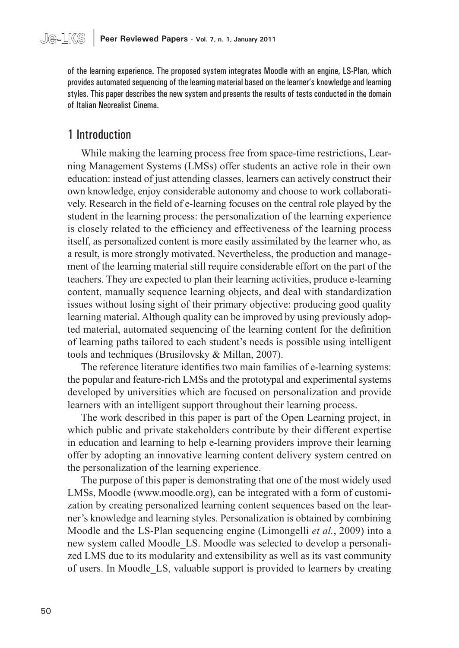of the learning experience. The proposed system integrates Moodle with an engine, LS-Plan, which provides automated sequencing of the learning material based on the learner's knowledge and learning styles. This paper describes the new system and presents the results of tests conducted in the domain of Italian Neorealist Cinema.

# 1 Introduction

While making the learning process free from space-time restrictions, Learning Management Systems (LMSs) offer students an active role in their own education: instead of just attending classes, learners can actively construct their own knowledge, enjoy considerable autonomy and choose to work collaboratively. Research in the field of e-learning focuses on the central role played by the student in the learning process: the personalization of the learning experience is closely related to the efficiency and effectiveness of the learning process itself, as personalized content is more easily assimilated by the learner who, as a result, is more strongly motivated. Nevertheless, the production and management of the learning material still require considerable effort on the part of the teachers. They are expected to plan their learning activities, produce e-learning content, manually sequence learning objects, and deal with standardization issues without losing sight of their primary objective: producing good quality learning material. Although quality can be improved by using previously adopted material, automated sequencing of the learning content for the definition of learning paths tailored to each student's needs is possible using intelligent tools and techniques (Brusilovsky & Millan, 2007).

The reference literature identifies two main families of e-learning systems: the popular and feature-rich LMSs and the prototypal and experimental systems developed by universities which are focused on personalization and provide learners with an intelligent support throughout their learning process.

The work described in this paper is part of the Open Learning project, in which public and private stakeholders contribute by their different expertise in education and learning to help e-learning providers improve their learning offer by adopting an innovative learning content delivery system centred on the personalization of the learning experience.

The purpose of this paper is demonstrating that one of the most widely used LMSs, Moodle (www.moodle.org), can be integrated with a form of customization by creating personalized learning content sequences based on the learner's knowledge and learning styles. Personalization is obtained by combining Moodle and the LS-Plan sequencing engine (Limongelli *et al.*, 2009) into a new system called Moodle\_LS. Moodle was selected to develop a personalized LMS due to its modularity and extensibility as well as its vast community of users. In Moodle\_LS, valuable support is provided to learners by creating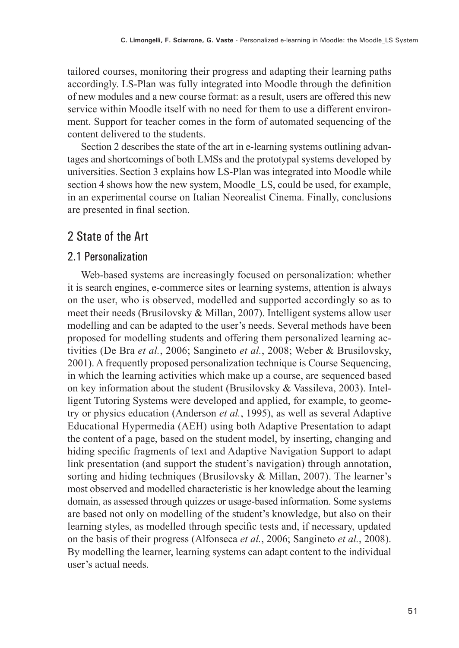tailored courses, monitoring their progress and adapting their learning paths accordingly. LS-Plan was fully integrated into Moodle through the definition of new modules and a new course format: as a result, users are offered this new service within Moodle itself with no need for them to use a different environment. Support for teacher comes in the form of automated sequencing of the content delivered to the students.

Section 2 describes the state of the art in e-learning systems outlining advantages and shortcomings of both LMSs and the prototypal systems developed by universities. Section 3 explains how LS-Plan was integrated into Moodle while section 4 shows how the new system, Moodle\_LS, could be used, for example, in an experimental course on Italian Neorealist Cinema. Finally, conclusions are presented in final section.

# 2 State of the Art

## 2.1 Personalization

Web-based systems are increasingly focused on personalization: whether it is search engines, e-commerce sites or learning systems, attention is always on the user, who is observed, modelled and supported accordingly so as to meet their needs (Brusilovsky & Millan, 2007). Intelligent systems allow user modelling and can be adapted to the user's needs. Several methods have been proposed for modelling students and offering them personalized learning activities (De Bra *et al.*, 2006; Sangineto *et al.*, 2008; Weber & Brusilovsky, 2001). A frequently proposed personalization technique is Course Sequencing, in which the learning activities which make up a course, are sequenced based on key information about the student (Brusilovsky & Vassileva, 2003). Intelligent Tutoring Systems were developed and applied, for example, to geometry or physics education (Anderson *et al.*, 1995), as well as several Adaptive Educational Hypermedia (AEH) using both Adaptive Presentation to adapt the content of a page, based on the student model, by inserting, changing and hiding specific fragments of text and Adaptive Navigation Support to adapt link presentation (and support the student's navigation) through annotation, sorting and hiding techniques (Brusilovsky & Millan, 2007). The learner's most observed and modelled characteristic is her knowledge about the learning domain, as assessed through quizzes or usage-based information. Some systems are based not only on modelling of the student's knowledge, but also on their learning styles, as modelled through specific tests and, if necessary, updated on the basis of their progress (Alfonseca *et al.*, 2006; Sangineto *et al.*, 2008). By modelling the learner, learning systems can adapt content to the individual user's actual needs.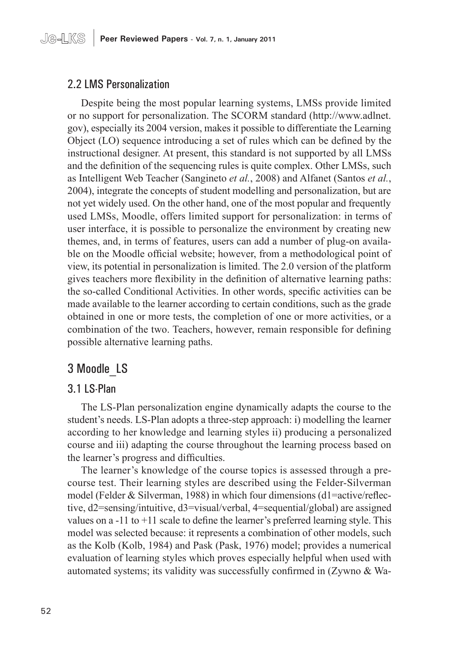# 2.2 LMS Personalization

Despite being the most popular learning systems, LMSs provide limited or no support for personalization. The SCORM standard (http://www.adlnet. gov), especially its 2004 version, makes it possible to differentiate the Learning Object (LO) sequence introducing a set of rules which can be defined by the instructional designer. At present, this standard is not supported by all LMSs and the definition of the sequencing rules is quite complex. Other LMSs, such as Intelligent Web Teacher (Sangineto *et al.*, 2008) and Alfanet (Santos *et al.*, 2004), integrate the concepts of student modelling and personalization, but are not yet widely used. On the other hand, one of the most popular and frequently used LMSs, Moodle, offers limited support for personalization: in terms of user interface, it is possible to personalize the environment by creating new themes, and, in terms of features, users can add a number of plug-on available on the Moodle official website; however, from a methodological point of view, its potential in personalization is limited. The 2.0 version of the platform gives teachers more flexibility in the definition of alternative learning paths: the so-called Conditional Activities. In other words, specific activities can be made available to the learner according to certain conditions, such as the grade obtained in one or more tests, the completion of one or more activities, or a combination of the two. Teachers, however, remain responsible for defining possible alternative learning paths.

# 3 Moodle\_LS

#### 3.1 LS-Plan

The LS-Plan personalization engine dynamically adapts the course to the student's needs. LS-Plan adopts a three-step approach: i) modelling the learner according to her knowledge and learning styles ii) producing a personalized course and iii) adapting the course throughout the learning process based on the learner's progress and difficulties.

The learner's knowledge of the course topics is assessed through a precourse test. Their learning styles are described using the Felder-Silverman model (Felder & Silverman, 1988) in which four dimensions (d1=active/reflective, d2=sensing/intuitive, d3=visual/verbal, 4=sequential/global) are assigned values on a -11 to +11 scale to define the learner's preferred learning style. This model was selected because: it represents a combination of other models, such as the Kolb (Kolb, 1984) and Pask (Pask, 1976) model; provides a numerical evaluation of learning styles which proves especially helpful when used with automated systems; its validity was successfully confirmed in (Zywno & Wa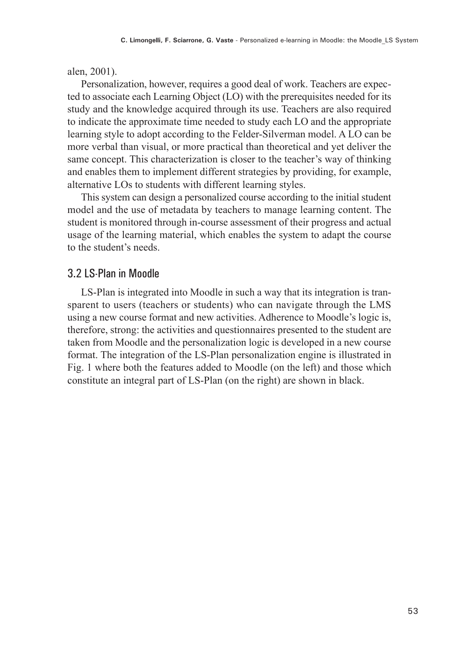alen, 2001).

Personalization, however, requires a good deal of work. Teachers are expected to associate each Learning Object (LO) with the prerequisites needed for its study and the knowledge acquired through its use. Teachers are also required to indicate the approximate time needed to study each LO and the appropriate learning style to adopt according to the Felder-Silverman model. A LO can be more verbal than visual, or more practical than theoretical and yet deliver the same concept. This characterization is closer to the teacher's way of thinking and enables them to implement different strategies by providing, for example, alternative LOs to students with different learning styles.

This system can design a personalized course according to the initial student model and the use of metadata by teachers to manage learning content. The student is monitored through in-course assessment of their progress and actual usage of the learning material, which enables the system to adapt the course to the student's needs.

#### 3.2 LS-Plan in Moodle

LS-Plan is integrated into Moodle in such a way that its integration is transparent to users (teachers or students) who can navigate through the LMS using a new course format and new activities. Adherence to Moodle's logic is, therefore, strong: the activities and questionnaires presented to the student are taken from Moodle and the personalization logic is developed in a new course format. The integration of the LS-Plan personalization engine is illustrated in Fig. 1 where both the features added to Moodle (on the left) and those which constitute an integral part of LS-Plan (on the right) are shown in black.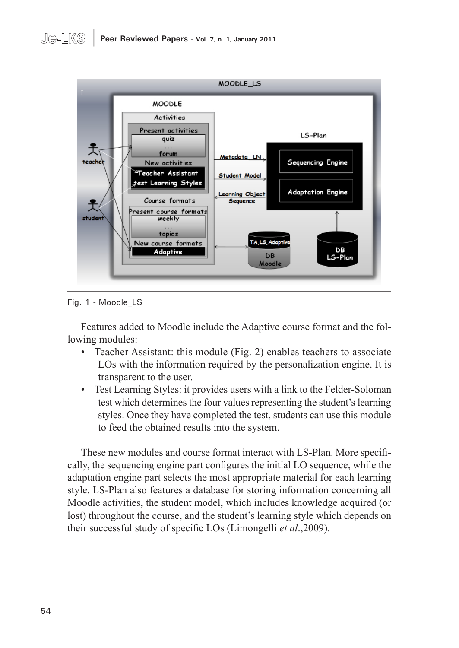

Fig. 1 - Moodle\_LS

Features added to Moodle include the Adaptive course format and the following modules:

- Teacher Assistant: this module (Fig. 2) enables teachers to associate LOs with the information required by the personalization engine. It is transparent to the user.
- Test Learning Styles: it provides users with a link to the Felder-Soloman test which determines the four values representing the student's learning styles. Once they have completed the test, students can use this module to feed the obtained results into the system.

These new modules and course format interact with LS-Plan. More specifically, the sequencing engine part configures the initial LO sequence, while the adaptation engine part selects the most appropriate material for each learning style. LS-Plan also features a database for storing information concerning all Moodle activities, the student model, which includes knowledge acquired (or lost) throughout the course, and the student's learning style which depends on their successful study of specific LOs (Limongelli *et al*.,2009).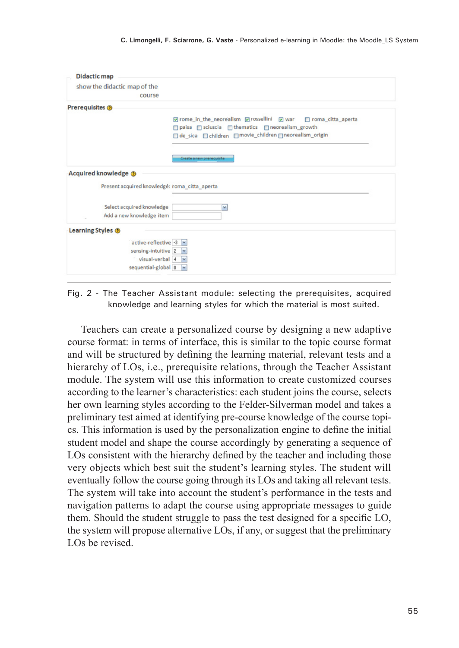| <b>Didactic map</b>                                   |                                                             |
|-------------------------------------------------------|-------------------------------------------------------------|
| show the didactic map of the                          |                                                             |
| course                                                |                                                             |
| Prerequisites @                                       |                                                             |
|                                                       | Ørome_in_the_neorealism Ørossellini Øwar Droma_citta_aperta |
|                                                       | □ paisa □ sciuscia □ thematics □ neorealism_growth          |
|                                                       | □ de_sica □ children □movie_children □neorealism_origin     |
|                                                       | Create a new prerequisite                                   |
|                                                       |                                                             |
| Present acquired knowledgé: roma citta aperta         |                                                             |
| Acquired knowledge @                                  | v                                                           |
| Select acquired knowledge<br>Add a new knowledge item |                                                             |
| Learning Styles <sup>(2)</sup>                        |                                                             |
|                                                       |                                                             |
| active-reflective -3 $\sim$                           |                                                             |
| sensing-intuitive $2 \times$<br>visual-verbal 4 M     |                                                             |

Fig. 2 - The Teacher Assistant module: selecting the prerequisites, acquired knowledge and learning styles for which the material is most suited.

Teachers can create a personalized course by designing a new adaptive course format: in terms of interface, this is similar to the topic course format and will be structured by defining the learning material, relevant tests and a hierarchy of LOs, i.e., prerequisite relations, through the Teacher Assistant module. The system will use this information to create customized courses according to the learner's characteristics: each student joins the course, selects her own learning styles according to the Felder-Silverman model and takes a preliminary test aimed at identifying pre-course knowledge of the course topics. This information is used by the personalization engine to define the initial student model and shape the course accordingly by generating a sequence of LOs consistent with the hierarchy defined by the teacher and including those very objects which best suit the student's learning styles. The student will eventually follow the course going through its LOs and taking all relevant tests. The system will take into account the student's performance in the tests and navigation patterns to adapt the course using appropriate messages to guide them. Should the student struggle to pass the test designed for a specific LO, the system will propose alternative LOs, if any, or suggest that the preliminary LOs be revised.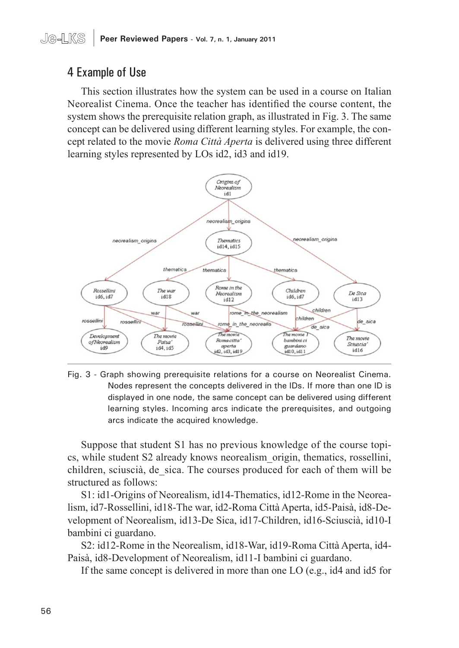# 4 Example of Use

This section illustrates how the system can be used in a course on Italian Neorealist Cinema. Once the teacher has identified the course content, the system shows the prerequisite relation graph, as illustrated in Fig. 3. The same concept can be delivered using different learning styles. For example, the concept related to the movie *Roma Città Aperta* is delivered using three different learning styles represented by LOs id2, id3 and id19.



Fig. 3 - Graph showing prerequisite relations for a course on Neorealist Cinema. Nodes represent the concepts delivered in the IDs. If more than one ID is displayed in one node, the same concept can be delivered using different learning styles. Incoming arcs indicate the prerequisites, and outgoing arcs indicate the acquired knowledge.

Suppose that student S1 has no previous knowledge of the course topics, while student S2 already knows neorealism\_origin, thematics, rossellini, children, sciuscià, de\_sica. The courses produced for each of them will be structured as follows:

S1: id1-Origins of Neorealism, id14-Thematics, id12-Rome in the Neorealism, id7-Rossellini, id18-The war, id2-Roma Città Aperta, id5-Paisà, id8-Development of Neorealism, id13-De Sica, id17-Children, id16-Sciuscià, id10-I bambini ci guardano.

S2: id12-Rome in the Neorealism, id18-War, id19-Roma Città Aperta, id4- Paisà, id8-Development of Neorealism, id11-I bambini ci guardano.

If the same concept is delivered in more than one LO (e.g., id4 and id5 for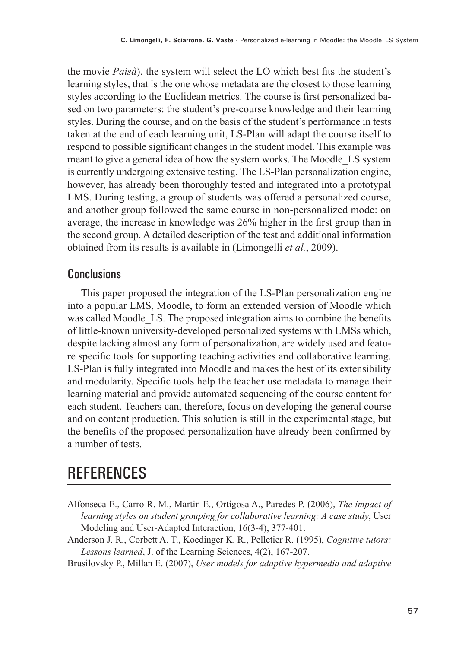the movie *Paisà*), the system will select the LO which best fits the student's learning styles, that is the one whose metadata are the closest to those learning styles according to the Euclidean metrics. The course is first personalized based on two parameters: the student's pre-course knowledge and their learning styles. During the course, and on the basis of the student's performance in tests taken at the end of each learning unit, LS-Plan will adapt the course itself to respond to possible significant changes in the student model. This example was meant to give a general idea of how the system works. The Moodle\_LS system is currently undergoing extensive testing. The LS-Plan personalization engine, however, has already been thoroughly tested and integrated into a prototypal LMS. During testing, a group of students was offered a personalized course, and another group followed the same course in non-personalized mode: on average, the increase in knowledge was 26% higher in the first group than in the second group. A detailed description of the test and additional information obtained from its results is available in (Limongelli *et al.*, 2009).

# **Conclusions**

This paper proposed the integration of the LS-Plan personalization engine into a popular LMS, Moodle, to form an extended version of Moodle which was called Moodle LS. The proposed integration aims to combine the benefits of little-known university-developed personalized systems with LMSs which, despite lacking almost any form of personalization, are widely used and feature specific tools for supporting teaching activities and collaborative learning. LS-Plan is fully integrated into Moodle and makes the best of its extensibility and modularity. Specific tools help the teacher use metadata to manage their learning material and provide automated sequencing of the course content for each student. Teachers can, therefore, focus on developing the general course and on content production. This solution is still in the experimental stage, but the benefits of the proposed personalization have already been confirmed by a number of tests.

# **REFERENCES**

- Alfonseca E., Carro R. M., Martin E., Ortigosa A., Paredes P. (2006), *The impact of learning styles on student grouping for collaborative learning: A case study*, User Modeling and User-Adapted Interaction, 16(3-4), 377-401.
- Anderson J. R., Corbett A. T., Koedinger K. R., Pelletier R. (1995), *Cognitive tutors: Lessons learned*, J. of the Learning Sciences, 4(2), 167-207.

Brusilovsky P., Millan E. (2007), *User models for adaptive hypermedia and adaptive*